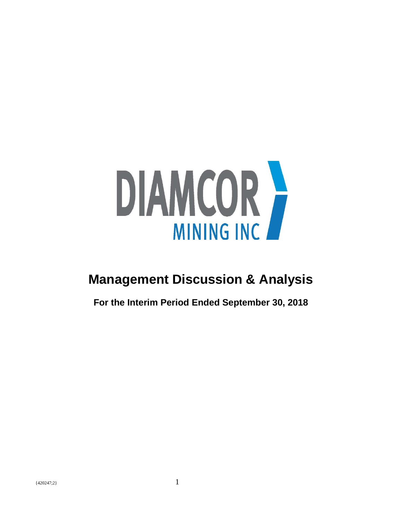

# **Management Discussion & Analysis**

**For the Interim Period Ended September 30, 2018**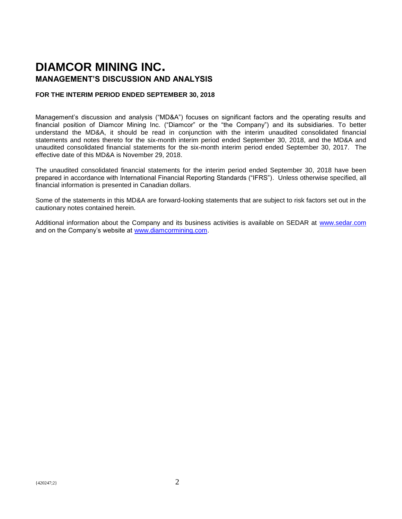# **DIAMCOR MINING INC. MANAGEMENT'S DISCUSSION AND ANALYSIS**

#### **FOR THE INTERIM PERIOD ENDED SEPTEMBER 30, 2018**

Management's discussion and analysis ("MD&A") focuses on significant factors and the operating results and financial position of Diamcor Mining Inc. ("Diamcor" or the "the Company") and its subsidiaries. To better understand the MD&A, it should be read in conjunction with the interim unaudited consolidated financial statements and notes thereto for the six-month interim period ended September 30, 2018, and the MD&A and unaudited consolidated financial statements for the six-month interim period ended September 30, 2017. The effective date of this MD&A is November 29, 2018.

The unaudited consolidated financial statements for the interim period ended September 30, 2018 have been prepared in accordance with International Financial Reporting Standards ("IFRS"). Unless otherwise specified, all financial information is presented in Canadian dollars.

Some of the statements in this MD&A are forward-looking statements that are subject to risk factors set out in the cautionary notes contained herein.

Additional information about the Company and its business activities is available on SEDAR at [www.sedar.com](http://www.sedar.com/) and on the Company's website at [www.diamcormining.com.](http://www.diamcormining.com/)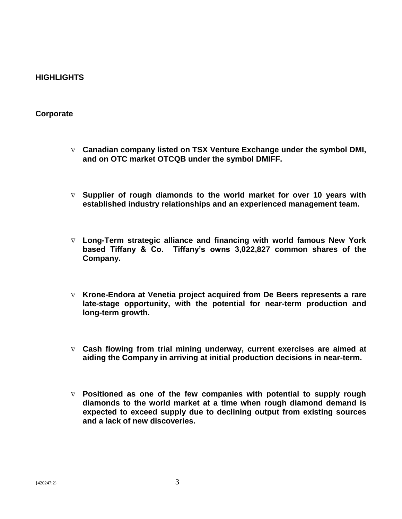# **HIGHLIGHTS**

## **Corporate**

- **Canadian company listed on TSX Venture Exchange under the symbol DMI, and on OTC market OTCQB under the symbol DMIFF.**
- **Supplier of rough diamonds to the world market for over 10 years with established industry relationships and an experienced management team.**
- **Long-Term strategic alliance and financing with world famous New York based Tiffany & Co. Tiffany's owns 3,022,827 common shares of the Company.**
- **Krone-Endora at Venetia project acquired from De Beers represents a rare late-stage opportunity, with the potential for near-term production and long-term growth.**
- **Cash flowing from trial mining underway, current exercises are aimed at aiding the Company in arriving at initial production decisions in near-term.**
- **Positioned as one of the few companies with potential to supply rough diamonds to the world market at a time when rough diamond demand is expected to exceed supply due to declining output from existing sources and a lack of new discoveries.**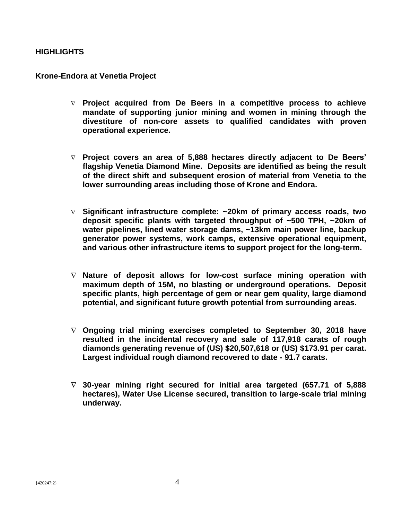# **HIGHLIGHTS**

### **Krone-Endora at Venetia Project**

- **Project acquired from De Beers in a competitive process to achieve mandate of supporting junior mining and women in mining through the divestiture of non-core assets to qualified candidates with proven operational experience.**
- **Project covers an area of 5,888 hectares directly adjacent to De Beers' flagship Venetia Diamond Mine. Deposits are identified as being the result of the direct shift and subsequent erosion of material from Venetia to the lower surrounding areas including those of Krone and Endora.**
- **Significant infrastructure complete: ~20km of primary access roads, two deposit specific plants with targeted throughput of ~500 TPH, ~20km of water pipelines, lined water storage dams, ~13km main power line, backup generator power systems, work camps, extensive operational equipment, and various other infrastructure items to support project for the long-term.**
- **Nature of deposit allows for low-cost surface mining operation with maximum depth of 15M, no blasting or underground operations. Deposit specific plants, high percentage of gem or near gem quality, large diamond potential, and significant future growth potential from surrounding areas.**
- **Ongoing trial mining exercises completed to September 30, 2018 have resulted in the incidental recovery and sale of 117,918 carats of rough diamonds generating revenue of (US) \$20,507,618 or (US) \$173.91 per carat. Largest individual rough diamond recovered to date - 91.7 carats.**
- **30-year mining right secured for initial area targeted (657.71 of 5,888 hectares), Water Use License secured, transition to large-scale trial mining underway.**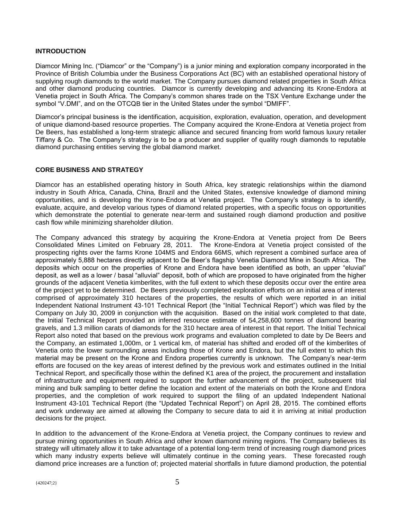#### **INTRODUCTION**

Diamcor Mining Inc. ("Diamcor" or the "Company") is a junior mining and exploration company incorporated in the Province of British Columbia under the Business Corporations Act (BC) with an established operational history of supplying rough diamonds to the world market. The Company pursues diamond related properties in South Africa and other diamond producing countries. Diamcor is currently developing and advancing its Krone-Endora at Venetia project in South Africa. The Company's common shares trade on the TSX Venture Exchange under the symbol "V.DMI", and on the OTCQB tier in the United States under the symbol "DMIFF".

Diamcor's principal business is the identification, acquisition, exploration, evaluation, operation, and development of unique diamond-based resource properties. The Company acquired the Krone-Endora at Venetia project from De Beers, has established a long-term strategic alliance and secured financing from world famous luxury retailer Tiffany & Co. The Company's strategy is to be a producer and supplier of quality rough diamonds to reputable diamond purchasing entities serving the global diamond market.

#### **CORE BUSINESS AND STRATEGY**

Diamcor has an established operating history in South Africa, key strategic relationships within the diamond industry in South Africa, Canada, China, Brazil and the United States, extensive knowledge of diamond mining opportunities, and is developing the Krone-Endora at Venetia project. The Company's strategy is to identify, evaluate, acquire, and develop various types of diamond related properties, with a specific focus on opportunities which demonstrate the potential to generate near-term and sustained rough diamond production and positive cash flow while minimizing shareholder dilution.

The Company advanced this strategy by acquiring the Krone-Endora at Venetia project from De Beers Consolidated Mines Limited on February 28, 2011. The Krone-Endora at Venetia project consisted of the prospecting rights over the farms Krone 104MS and Endora 66MS, which represent a combined surface area of approximately 5,888 hectares directly adjacent to De Beer's flagship Venetia Diamond Mine in South Africa. The deposits which occur on the properties of Krone and Endora have been identified as both, an upper "eluvial" deposit, as well as a lower / basal "alluvial" deposit, both of which are proposed to have originated from the higher grounds of the adjacent Venetia kimberlites, with the full extent to which these deposits occur over the entire area of the project yet to be determined. De Beers previously completed exploration efforts on an initial area of interest comprised of approximately 310 hectares of the properties, the results of which were reported in an initial Independent National Instrument 43-101 Technical Report (the "Initial Technical Report") which was filed by the Company on July 30, 2009 in conjunction with the acquisition. Based on the initial work completed to that date, the Initial Technical Report provided an inferred resource estimate of 54,258,600 tonnes of diamond bearing gravels, and 1.3 million carats of diamonds for the 310 hectare area of interest in that report. The Initial Technical Report also noted that based on the previous work programs and evaluation completed to date by De Beers and the Company, an estimated 1,000m, or 1 vertical km, of material has shifted and eroded off of the kimberlites of Venetia onto the lower surrounding areas including those of Krone and Endora, but the full extent to which this material may be present on the Krone and Endora properties currently is unknown. The Company's near-term efforts are focused on the key areas of interest defined by the previous work and estimates outlined in the Initial Technical Report, and specifically those within the defined K1 area of the project, the procurement and installation of infrastructure and equipment required to support the further advancement of the project, subsequent trial mining and bulk sampling to better define the location and extent of the materials on both the Krone and Endora properties, and the completion of work required to support the filing of an updated Independent National Instrument 43-101 Technical Report (the "Updated Technical Report") on April 28, 2015. The combined efforts and work underway are aimed at allowing the Company to secure data to aid it in arriving at initial production decisions for the project.

In addition to the advancement of the Krone-Endora at Venetia project, the Company continues to review and pursue mining opportunities in South Africa and other known diamond mining regions. The Company believes its strategy will ultimately allow it to take advantage of a potential long-term trend of increasing rough diamond prices which many industry experts believe will ultimately continue in the coming years. These forecasted rough diamond price increases are a function of; projected material shortfalls in future diamond production, the potential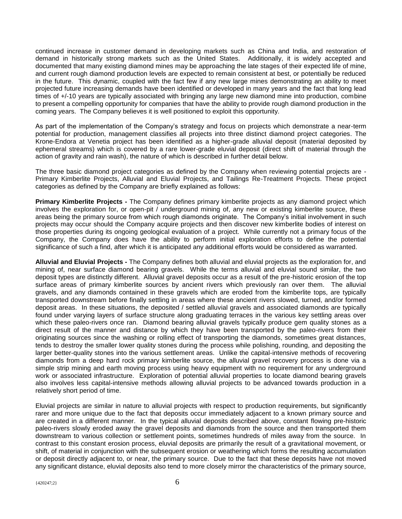continued increase in customer demand in developing markets such as China and India, and restoration of demand in historically strong markets such as the United States. Additionally, it is widely accepted and documented that many existing diamond mines may be approaching the late stages of their expected life of mine, and current rough diamond production levels are expected to remain consistent at best, or potentially be reduced in the future. This dynamic, coupled with the fact few if any new large mines demonstrating an ability to meet projected future increasing demands have been identified or developed in many years and the fact that long lead times of +/-10 years are typically associated with bringing any large new diamond mine into production, combine to present a compelling opportunity for companies that have the ability to provide rough diamond production in the coming years. The Company believes it is well positioned to exploit this opportunity.

As part of the implementation of the Company's strategy and focus on projects which demonstrate a near-term potential for production, management classifies all projects into three distinct diamond project categories. The Krone-Endora at Venetia project has been identified as a higher-grade alluvial deposit (material deposited by ephemeral streams) which is covered by a rare lower-grade eluvial deposit (direct shift of material through the action of gravity and rain wash), the nature of which is described in further detail below.

The three basic diamond project categories as defined by the Company when reviewing potential projects are - Primary Kimberlite Projects, Alluvial and Eluvial Projects, and Tailings Re-Treatment Projects. These project categories as defined by the Company are briefly explained as follows:

**Primary Kimberlite Projects -** The Company defines primary kimberlite projects as any diamond project which involves the exploration for, or open-pit / underground mining of, any new or existing kimberlite source, these areas being the primary source from which rough diamonds originate. The Company's initial involvement in such projects may occur should the Company acquire projects and then discover new kimberlite bodies of interest on those properties during its ongoing geological evaluation of a project. While currently not a primary focus of the Company, the Company does have the ability to perform initial exploration efforts to define the potential significance of such a find, after which it is anticipated any additional efforts would be considered as warranted.

**Alluvial and Eluvial Projects -** The Company defines both alluvial and eluvial projects as the exploration for, and mining of, near surface diamond bearing gravels. While the terms alluvial and eluvial sound similar, the two deposit types are distinctly different. Alluvial gravel deposits occur as a result of the pre-historic erosion of the top surface areas of primary kimberlite sources by ancient rivers which previously ran over them. The alluvial gravels, and any diamonds contained in these gravels which are eroded from the kimberlite tops, are typically transported downstream before finally settling in areas where these ancient rivers slowed, turned, and/or formed deposit areas. In these situations, the deposited / settled alluvial gravels and associated diamonds are typically found under varying layers of surface structure along graduating terraces in the various key settling areas over which these paleo-rivers once ran. Diamond bearing alluvial gravels typically produce gem quality stones as a direct result of the manner and distance by which they have been transported by the paleo-rivers from their originating sources since the washing or rolling effect of transporting the diamonds, sometimes great distances, tends to destroy the smaller lower quality stones during the process while polishing, rounding, and depositing the larger better-quality stones into the various settlement areas. Unlike the capital-intensive methods of recovering diamonds from a deep hard rock primary kimberlite source, the alluvial gravel recovery process is done via a simple strip mining and earth moving process using heavy equipment with no requirement for any underground work or associated infrastructure. Exploration of potential alluvial properties to locate diamond bearing gravels also involves less capital-intensive methods allowing alluvial projects to be advanced towards production in a relatively short period of time.

Eluvial projects are similar in nature to alluvial projects with respect to production requirements, but significantly rarer and more unique due to the fact that deposits occur immediately adjacent to a known primary source and are created in a different manner. In the typical alluvial deposits described above, constant flowing pre-historic paleo-rivers slowly eroded away the gravel deposits and diamonds from the source and then transported them downstream to various collection or settlement points, sometimes hundreds of miles away from the source. In contrast to this constant erosion process, eluvial deposits are primarily the result of a gravitational movement, or shift, of material in conjunction with the subsequent erosion or weathering which forms the resulting accumulation or deposit directly adjacent to, or near, the primary source. Due to the fact that these deposits have not moved any significant distance, eluvial deposits also tend to more closely mirror the characteristics of the primary source,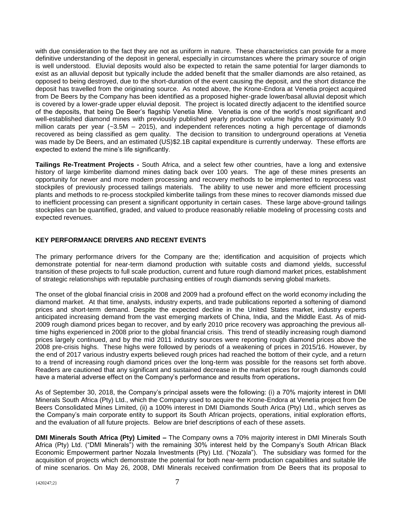with due consideration to the fact they are not as uniform in nature. These characteristics can provide for a more definitive understanding of the deposit in general, especially in circumstances where the primary source of origin is well understood. Eluvial deposits would also be expected to retain the same potential for larger diamonds to exist as an alluvial deposit but typically include the added benefit that the smaller diamonds are also retained, as opposed to being destroyed, due to the short-duration of the event causing the deposit, and the short distance the deposit has travelled from the originating source. As noted above, the Krone-Endora at Venetia project acquired from De Beers by the Company has been identified as a proposed higher-grade lower/basal alluvial deposit which is covered by a lower-grade upper eluvial deposit. The project is located directly adjacent to the identified source of the deposits, that being De Beer's flagship Venetia Mine. Venetia is one of the world's most significant and well-established diamond mines with previously published yearly production volume highs of approximately 9.0 million carats per year (~3.5M – 2015), and independent references noting a high percentage of diamonds recovered as being classified as gem quality. The decision to transition to underground operations at Venetia was made by De Beers, and an estimated (US)\$2.1B capital expenditure is currently underway. These efforts are expected to extend the mine's life significantly.

**Tailings Re-Treatment Projects -** South Africa, and a select few other countries, have a long and extensive history of large kimberlite diamond mines dating back over 100 years. The age of these mines presents an opportunity for newer and more modern processing and recovery methods to be implemented to reprocess vast stockpiles of previously processed tailings materials. The ability to use newer and more efficient processing plants and methods to re-process stockpiled kimberlite tailings from these mines to recover diamonds missed due to inefficient processing can present a significant opportunity in certain cases. These large above-ground tailings stockpiles can be quantified, graded, and valued to produce reasonably reliable modeling of processing costs and expected revenues.

#### **KEY PERFORMANCE DRIVERS AND RECENT EVENTS**

The primary performance drivers for the Company are the; identification and acquisition of projects which demonstrate potential for near-term diamond production with suitable costs and diamond yields, successful transition of these projects to full scale production, current and future rough diamond market prices, establishment of strategic relationships with reputable purchasing entities of rough diamonds serving global markets.

The onset of the global financial crisis in 2008 and 2009 had a profound effect on the world economy including the diamond market. At that time, analysts, industry experts, and trade publications reported a softening of diamond prices and short-term demand. Despite the expected decline in the United States market, industry experts anticipated increasing demand from the vast emerging markets of China, India, and the Middle East. As of mid-2009 rough diamond prices began to recover, and by early 2010 price recovery was approaching the previous alltime highs experienced in 2008 prior to the global financial crisis. This trend of steadily increasing rough diamond prices largely continued, and by the mid 2011 industry sources were reporting rough diamond prices above the 2008 pre-crisis highs. These highs were followed by periods of a weakening of prices in 2015/16. However, by the end of 2017 various industry experts believed rough prices had reached the bottom of their cycle, and a return to a trend of increasing rough diamond prices over the long-term was possible for the reasons set forth above. Readers are cautioned that any significant and sustained decrease in the market prices for rough diamonds could have a material adverse effect on the Company's performance and results from operations**.**

As of September 30, 2018, the Company's principal assets were the following: (i) a 70% majority interest in DMI Minerals South Africa (Pty) Ltd., which the Company used to acquire the Krone-Endora at Venetia project from De Beers Consolidated Mines Limited, (ii) a 100% interest in DMI Diamonds South Arica (Pty) Ltd., which serves as the Company's main corporate entity to support its South African projects, operations, initial exploration efforts, and the evaluation of all future projects. Below are brief descriptions of each of these assets.

**DMI Minerals South Africa (Pty) Limited –** The Company owns a 70% majority interest in DMI Minerals South Africa (Pty) Ltd. ("DMI Minerals") with the remaining 30% interest held by the Company's South African Black Economic Empowerment partner Nozala Investments (Pty) Ltd. ("Nozala"). The subsidiary was formed for the acquisition of projects which demonstrate the potential for both near-term production capabilities and suitable life of mine scenarios. On May 26, 2008, DMI Minerals received confirmation from De Beers that its proposal to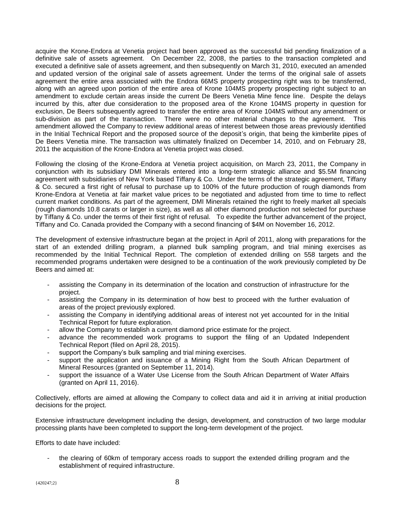acquire the Krone-Endora at Venetia project had been approved as the successful bid pending finalization of a definitive sale of assets agreement. On December 22, 2008, the parties to the transaction completed and executed a definitive sale of assets agreement, and then subsequently on March 31, 2010, executed an amended and updated version of the original sale of assets agreement. Under the terms of the original sale of assets agreement the entire area associated with the Endora 66MS property prospecting right was to be transferred, along with an agreed upon portion of the entire area of Krone 104MS property prospecting right subject to an amendment to exclude certain areas inside the current De Beers Venetia Mine fence line. Despite the delays incurred by this, after due consideration to the proposed area of the Krone 104MS property in question for exclusion, De Beers subsequently agreed to transfer the entire area of Krone 104MS without any amendment or sub-division as part of the transaction. There were no other material changes to the agreement. This amendment allowed the Company to review additional areas of interest between those areas previously identified in the Initial Technical Report and the proposed source of the deposit's origin, that being the kimberlite pipes of De Beers Venetia mine. The transaction was ultimately finalized on December 14, 2010, and on February 28, 2011 the acquisition of the Krone-Endora at Venetia project was closed.

Following the closing of the Krone-Endora at Venetia project acquisition, on March 23, 2011, the Company in conjunction with its subsidiary DMI Minerals entered into a long-term strategic alliance and \$5.5M financing agreement with subsidiaries of New York based Tiffany & Co. Under the terms of the strategic agreement, Tiffany & Co. secured a first right of refusal to purchase up to 100% of the future production of rough diamonds from Krone-Endora at Venetia at fair market value prices to be negotiated and adjusted from time to time to reflect current market conditions. As part of the agreement, DMI Minerals retained the right to freely market all specials (rough diamonds 10.8 carats or larger in size), as well as all other diamond production not selected for purchase by Tiffany & Co. under the terms of their first right of refusal. To expedite the further advancement of the project, Tiffany and Co. Canada provided the Company with a second financing of \$4M on November 16, 2012.

The development of extensive infrastructure began at the project in April of 2011, along with preparations for the start of an extended drilling program, a planned bulk sampling program, and trial mining exercises as recommended by the Initial Technical Report. The completion of extended drilling on 558 targets and the recommended programs undertaken were designed to be a continuation of the work previously completed by De Beers and aimed at:

- assisting the Company in its determination of the location and construction of infrastructure for the project.
- assisting the Company in its determination of how best to proceed with the further evaluation of areas of the project previously explored.
- assisting the Company in identifying additional areas of interest not yet accounted for in the Initial Technical Report for future exploration.
- allow the Company to establish a current diamond price estimate for the project.
- advance the recommended work programs to support the filing of an Updated Independent Technical Report (filed on April 28, 2015).
- support the Company's bulk sampling and trial mining exercises.
- support the application and issuance of a Mining Right from the South African Department of Mineral Resources (granted on September 11, 2014).
- support the issuance of a Water Use License from the South African Department of Water Affairs (granted on April 11, 2016).

Collectively, efforts are aimed at allowing the Company to collect data and aid it in arriving at initial production decisions for the project.

Extensive infrastructure development including the design, development, and construction of two large modular processing plants have been completed to support the long-term development of the project.

Efforts to date have included:

the clearing of 60km of temporary access roads to support the extended drilling program and the establishment of required infrastructure.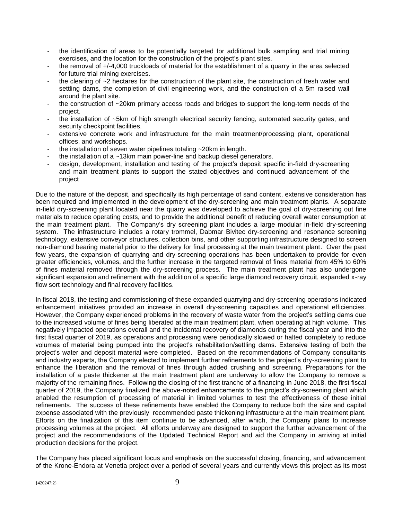- the identification of areas to be potentially targeted for additional bulk sampling and trial mining exercises, and the location for the construction of the project's plant sites.
- the removal of +/-4,000 truckloads of material for the establishment of a quarry in the area selected for future trial mining exercises.
- the clearing of  $\sim$  2 hectares for the construction of the plant site, the construction of fresh water and settling dams, the completion of civil engineering work, and the construction of a 5m raised wall around the plant site.
- the construction of  $\sim$ 20km primary access roads and bridges to support the long-term needs of the project.
- the installation of ~5km of high strength electrical security fencing, automated security gates, and security checkpoint facilities.
- extensive concrete work and infrastructure for the main treatment/processing plant, operational offices, and workshops.
- the installation of seven water pipelines totaling  $\sim$  20km in length.
- the installation of a  $\sim$ 13km main power-line and backup diesel generators.
- design, development, installation and testing of the project's deposit specific in-field dry-screening and main treatment plants to support the stated objectives and continued advancement of the project

Due to the nature of the deposit, and specifically its high percentage of sand content, extensive consideration has been required and implemented in the development of the dry-screening and main treatment plants. A separate in-field dry-screening plant located near the quarry was developed to achieve the goal of dry-screening out fine materials to reduce operating costs, and to provide the additional benefit of reducing overall water consumption at the main treatment plant. The Company's dry screening plant includes a large modular in-field dry-screening system. The infrastructure includes a rotary trommel, Dabmar Bivitec dry-screening and resonance screening technology, extensive conveyor structures, collection bins, and other supporting infrastructure designed to screen non-diamond bearing material prior to the delivery for final processing at the main treatment plant. Over the past few years, the expansion of quarrying and dry-screening operations has been undertaken to provide for even greater efficiencies, volumes, and the further increase in the targeted removal of fines material from 45% to 60% of fines material removed through the dry-screening process. The main treatment plant has also undergone significant expansion and refinement with the addition of a specific large diamond recovery circuit, expanded x-ray flow sort technology and final recovery facilities.

In fiscal 2018, the testing and commissioning of these expanded quarrying and dry-screening operations indicated enhancement initiatives provided an increase in overall dry-screening capacities and operational efficiencies. However, the Company experienced problems in the recovery of waste water from the project's settling dams due to the increased volume of fines being liberated at the main treatment plant, when operating at high volume. This negatively impacted operations overall and the incidental recovery of diamonds during the fiscal year and into the first fiscal quarter of 2019, as operations and processing were periodically slowed or halted completely to reduce volumes of material being pumped into the project's rehabilitation/settling dams. Extensive testing of both the project's water and deposit material were completed. Based on the recommendations of Company consultants and industry experts, the Company elected to implement further refinements to the project's dry-screening plant to enhance the liberation and the removal of fines through added crushing and screening. Preparations for the installation of a paste thickener at the main treatment plant are underway to allow the Company to remove a majority of the remaining fines. Following the closing of the first tranche of a financing in June 2018, the first fiscal quarter of 2019, the Company finalized the above-noted enhancements to the project's dry-screening plant which enabled the resumption of processing of material in limited volumes to test the effectiveness of these initial refinements. The success of these refinements have enabled the Company to reduce both the size and capital expense associated with the previously recommended paste thickening infrastructure at the main treatment plant. Efforts on the finalization of this item continue to be advanced, after which, the Company plans to increase processing volumes at the project. All efforts underway are designed to support the further advancement of the project and the recommendations of the Updated Technical Report and aid the Company in arriving at initial production decisions for the project.

The Company has placed significant focus and emphasis on the successful closing, financing, and advancement of the Krone-Endora at Venetia project over a period of several years and currently views this project as its most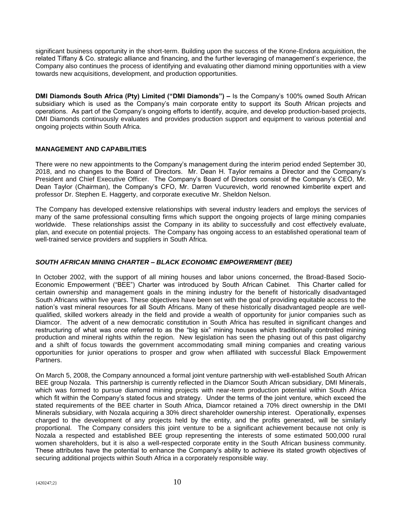significant business opportunity in the short-term. Building upon the success of the Krone-Endora acquisition, the related Tiffany & Co. strategic alliance and financing, and the further leveraging of management's experience, the Company also continues the process of identifying and evaluating other diamond mining opportunities with a view towards new acquisitions, development, and production opportunities.

**DMI Diamonds South Africa (Pty) Limited ("DMI Diamonds") –** Is the Company's 100% owned South African subsidiary which is used as the Company's main corporate entity to support its South African projects and operations. As part of the Company's ongoing efforts to identify, acquire, and develop production-based projects, DMI Diamonds continuously evaluates and provides production support and equipment to various potential and ongoing projects within South Africa.

#### **MANAGEMENT AND CAPABILITIES**

There were no new appointments to the Company's management during the interim period ended September 30, 2018, and no changes to the Board of Directors. Mr. Dean H. Taylor remains a Director and the Company's President and Chief Executive Officer. The Company's Board of Directors consist of the Company's CEO, Mr. Dean Taylor (Chairman), the Company's CFO, Mr. Darren Vucurevich, world renowned kimberlite expert and professor Dr. Stephen E. Haggerty, and corporate executive Mr. Sheldon Nelson.

The Company has developed extensive relationships with several industry leaders and employs the services of many of the same professional consulting firms which support the ongoing projects of large mining companies worldwide. These relationships assist the Company in its ability to successfully and cost effectively evaluate, plan, and execute on potential projects. The Company has ongoing access to an established operational team of well-trained service providers and suppliers in South Africa.

#### *SOUTH AFRICAN MINING CHARTER – BLACK ECONOMIC EMPOWERMENT (BEE)*

In October 2002, with the support of all mining houses and labor unions concerned, the Broad-Based Socio-Economic Empowerment ("BEE") Charter was introduced by South African Cabinet. This Charter called for certain ownership and management goals in the mining industry for the benefit of historically disadvantaged South Africans within five years. These objectives have been set with the goal of providing equitable access to the nation's vast mineral resources for all South Africans. Many of these historically disadvantaged people are wellqualified, skilled workers already in the field and provide a wealth of opportunity for junior companies such as Diamcor. The advent of a new democratic constitution in South Africa has resulted in significant changes and restructuring of what was once referred to as the "big six" mining houses which traditionally controlled mining production and mineral rights within the region. New legislation has seen the phasing out of this past oligarchy and a shift of focus towards the government accommodating small mining companies and creating various opportunities for junior operations to prosper and grow when affiliated with successful Black Empowerment Partners.

On March 5, 2008, the Company announced a formal joint venture partnership with well-established South African BEE group Nozala. This partnership is currently reflected in the Diamcor South African subsidiary, DMI Minerals, which was formed to pursue diamond mining projects with near-term production potential within South Africa which fit within the Company's stated focus and strategy. Under the terms of the joint venture, which exceed the stated requirements of the BEE charter in South Africa, Diamcor retained a 70% direct ownership in the DMI Minerals subsidiary, with Nozala acquiring a 30% direct shareholder ownership interest. Operationally, expenses charged to the development of any projects held by the entity, and the profits generated, will be similarly proportional. The Company considers this joint venture to be a significant achievement because not only is Nozala a respected and established BEE group representing the interests of some estimated 500,000 rural women shareholders, but it is also a well-respected corporate entity in the South African business community. These attributes have the potential to enhance the Company's ability to achieve its stated growth objectives of securing additional projects within South Africa in a corporately responsible way.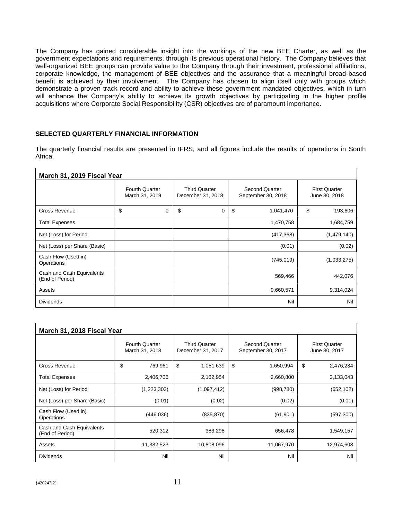The Company has gained considerable insight into the workings of the new BEE Charter, as well as the government expectations and requirements, through its previous operational history. The Company believes that well-organized BEE groups can provide value to the Company through their investment, professional affiliations, corporate knowledge, the management of BEE objectives and the assurance that a meaningful broad-based benefit is achieved by their involvement. The Company has chosen to align itself only with groups which demonstrate a proven track record and ability to achieve these government mandated objectives, which in turn will enhance the Company's ability to achieve its growth objectives by participating in the higher profile acquisitions where Corporate Social Responsibility (CSR) objectives are of paramount importance.

#### **SELECTED QUARTERLY FINANCIAL INFORMATION**

The quarterly financial results are presented in IFRS, and all figures include the results of operations in South Africa.

| March 31, 2019 Fiscal Year                   |                                         |                                           |                                      |                                       |  |  |
|----------------------------------------------|-----------------------------------------|-------------------------------------------|--------------------------------------|---------------------------------------|--|--|
|                                              | <b>Fourth Quarter</b><br>March 31, 2019 | <b>Third Quarter</b><br>December 31, 2018 | Second Quarter<br>September 30, 2018 | <b>First Quarter</b><br>June 30, 2018 |  |  |
| <b>Gross Revenue</b>                         | \$<br>0                                 | \$<br>0                                   | \$<br>1,041,470                      | \$<br>193,606                         |  |  |
| <b>Total Expenses</b>                        |                                         |                                           | 1,470,758                            | 1,684,759                             |  |  |
| Net (Loss) for Period                        |                                         |                                           | (417, 368)                           | (1,479,140)                           |  |  |
| Net (Loss) per Share (Basic)                 |                                         |                                           | (0.01)                               | (0.02)                                |  |  |
| Cash Flow (Used in)<br>Operations            |                                         |                                           | (745, 019)                           | (1,033,275)                           |  |  |
| Cash and Cash Equivalents<br>(End of Period) |                                         |                                           | 569,466                              | 442,076                               |  |  |
| Assets                                       |                                         |                                           | 9,660,571                            | 9,314,024                             |  |  |
| <b>Dividends</b>                             |                                         |                                           | Nil                                  | Nil                                   |  |  |

| March 31, 2018 Fiscal Year                   |                                         |                                           |                                             |                                       |  |  |
|----------------------------------------------|-----------------------------------------|-------------------------------------------|---------------------------------------------|---------------------------------------|--|--|
|                                              | <b>Fourth Quarter</b><br>March 31, 2018 | <b>Third Quarter</b><br>December 31, 2017 | <b>Second Quarter</b><br>September 30, 2017 | <b>First Quarter</b><br>June 30, 2017 |  |  |
| Gross Revenue                                | \$<br>769,961                           | \$<br>1,051,639                           | \$<br>1,650,994                             | \$<br>2,476,234                       |  |  |
| <b>Total Expenses</b>                        | 2,406,706                               | 2,162,954                                 | 2,660,800                                   | 3,133,043                             |  |  |
| Net (Loss) for Period                        | (1,223,303)                             | (1,097,412)                               | (998, 780)                                  | (652, 102)                            |  |  |
| Net (Loss) per Share (Basic)                 | (0.01)                                  | (0.02)                                    | (0.02)                                      | (0.01)                                |  |  |
| Cash Flow (Used in)<br>Operations            | (446, 036)                              | (835, 870)                                | (61, 901)                                   | (597, 300)                            |  |  |
| Cash and Cash Equivalents<br>(End of Period) | 520,312                                 | 383,298                                   | 656,478                                     | 1,549,157                             |  |  |
| Assets                                       | 11,382,523                              | 10,808,096                                | 11,067,970                                  | 12,974,608                            |  |  |
| <b>Dividends</b>                             | Nil                                     | Nil                                       | Nil                                         | Nil                                   |  |  |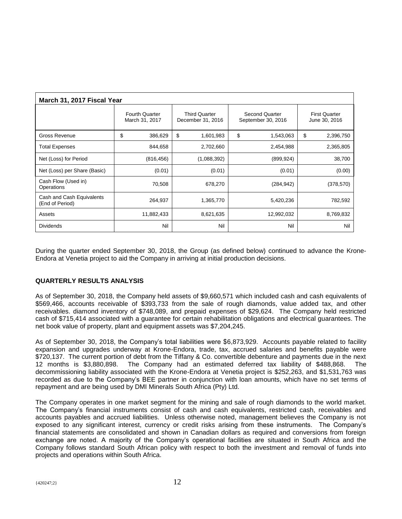| March 31, 2017 Fiscal Year                   |                                         |                                           |                                      |                                       |  |  |
|----------------------------------------------|-----------------------------------------|-------------------------------------------|--------------------------------------|---------------------------------------|--|--|
|                                              | <b>Fourth Quarter</b><br>March 31, 2017 | <b>Third Quarter</b><br>December 31, 2016 | Second Quarter<br>September 30, 2016 | <b>First Quarter</b><br>June 30, 2016 |  |  |
| Gross Revenue                                | \$<br>386,629                           | \$<br>1,601,983                           | \$<br>1,543,063                      | \$<br>2,396,750                       |  |  |
| <b>Total Expenses</b>                        | 844,658                                 | 2,702,660                                 | 2,454,988                            | 2,365,805                             |  |  |
| Net (Loss) for Period                        | (816, 456)                              | (1,088,392)                               | (899, 924)                           | 38,700                                |  |  |
| Net (Loss) per Share (Basic)                 | (0.01)                                  | (0.01)                                    | (0.01)                               | (0.00)                                |  |  |
| Cash Flow (Used in)<br>Operations            | 70,508                                  | 678,270                                   | (284, 942)                           | (378, 570)                            |  |  |
| Cash and Cash Equivalents<br>(End of Period) | 264,937                                 | 1,365,770                                 | 5,420,236                            | 782,592                               |  |  |
| Assets                                       | 11,882,433                              | 8,621,635                                 | 12,992,032                           | 8,769,832                             |  |  |
| <b>Dividends</b>                             | Nil                                     | Nil                                       | Nil                                  | Nil                                   |  |  |

During the quarter ended September 30, 2018, the Group (as defined below) continued to advance the Krone-Endora at Venetia project to aid the Company in arriving at initial production decisions.

#### **QUARTERLY RESULTS ANALYSIS**

As of September 30, 2018, the Company held assets of \$9,660,571 which included cash and cash equivalents of \$569,466, accounts receivable of \$393,733 from the sale of rough diamonds, value added tax, and other receivables. diamond inventory of \$748,089, and prepaid expenses of \$29,624. The Company held restricted cash of \$715,414 associated with a guarantee for certain rehabilitation obligations and electrical guarantees. The net book value of property, plant and equipment assets was \$7,204,245.

As of September 30, 2018, the Company's total liabilities were \$6,873,929. Accounts payable related to facility expansion and upgrades underway at Krone-Endora, trade, tax, accrued salaries and benefits payable were \$720,137. The current portion of debt from the Tiffany & Co. convertible debenture and payments due in the next 12 months is \$3,880,898. The Company had an estimated deferred tax liability of \$488,868. The decommissioning liability associated with the Krone-Endora at Venetia project is \$252,263, and \$1,531,763 was recorded as due to the Company's BEE partner in conjunction with loan amounts, which have no set terms of repayment and are being used by DMI Minerals South Africa (Pty) Ltd.

The Company operates in one market segment for the mining and sale of rough diamonds to the world market. The Company's financial instruments consist of cash and cash equivalents, restricted cash, receivables and accounts payables and accrued liabilities. Unless otherwise noted, management believes the Company is not exposed to any significant interest, currency or credit risks arising from these instruments. The Company's financial statements are consolidated and shown in Canadian dollars as required and conversions from foreign exchange are noted. A majority of the Company's operational facilities are situated in South Africa and the Company follows standard South African policy with respect to both the investment and removal of funds into projects and operations within South Africa.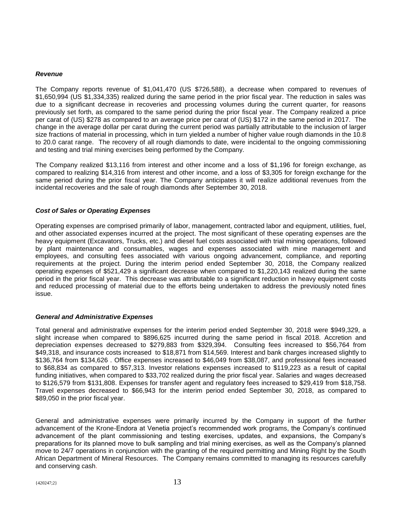#### *Revenue*

The Company reports revenue of \$1,041,470 (US \$726,588), a decrease when compared to revenues of \$1,650,994 (US \$1,334,335) realized during the same period in the prior fiscal year. The reduction in sales was due to a significant decrease in recoveries and processing volumes during the current quarter, for reasons previously set forth, as compared to the same period during the prior fiscal year. The Company realized a price per carat of (US) \$278 as compared to an average price per carat of (US) \$172 in the same period in 2017. The change in the average dollar per carat during the current period was partially attributable to the inclusion of larger size fractions of material in processing, which in turn yielded a number of higher value rough diamonds in the 10.8 to 20.0 carat range. The recovery of all rough diamonds to date, were incidental to the ongoing commissioning and testing and trial mining exercises being performed by the Company.

The Company realized \$13,116 from interest and other income and a loss of \$1,196 for foreign exchange, as compared to realizing \$14,316 from interest and other income, and a loss of \$3,305 for foreign exchange for the same period during the prior fiscal year. The Company anticipates it will realize additional revenues from the incidental recoveries and the sale of rough diamonds after September 30, 2018.

#### *Cost of Sales or Operating Expenses*

Operating expenses are comprised primarily of labor, management, contracted labor and equipment, utilities, fuel, and other associated expenses incurred at the project. The most significant of these operating expenses are the heavy equipment (Excavators, Trucks, etc.) and diesel fuel costs associated with trial mining operations, followed by plant maintenance and consumables, wages and expenses associated with mine management and employees, and consulting fees associated with various ongoing advancement, compliance, and reporting requirements at the project. During the interim period ended September 30, 2018, the Company realized operating expenses of \$521,429 a significant decrease when compared to \$1,220,143 realized during the same period in the prior fiscal year. This decrease was attributable to a significant reduction in heavy equipment costs and reduced processing of material due to the efforts being undertaken to address the previously noted fines issue.

#### *General and Administrative Expenses*

Total general and administrative expenses for the interim period ended September 30, 2018 were \$949,329, a slight increase when compared to \$896,625 incurred during the same period in fiscal 2018. Accretion and depreciation expenses decreased to \$279,883 from \$329,394. Consulting fees increased to \$56,764 from \$49,318, and insurance costs increased to \$18,871 from \$14,569. Interest and bank charges increased slightly to \$136,764 from \$134,626 . Office expenses increased to \$46,049 from \$38,087, and professional fees increased to \$68,834 as compared to \$57,313. Investor relations expenses increased to \$119,223 as a result of capital funding initiatives, when compared to \$33,702 realized during the prior fiscal year. Salaries and wages decreased to \$126,579 from \$131,808. Expenses for transfer agent and regulatory fees increased to \$29,419 from \$18,758. Travel expenses decreased to \$66,943 for the interim period ended September 30, 2018, as compared to \$89,050 in the prior fiscal year.

General and administrative expenses were primarily incurred by the Company in support of the further advancement of the Krone-Endora at Venetia project's recommended work programs, the Company's continued advancement of the plant commissioning and testing exercises, updates, and expansions, the Company's preparations for its planned move to bulk sampling and trial mining exercises, as well as the Company's planned move to 24/7 operations in conjunction with the granting of the required permitting and Mining Right by the South African Department of Mineral Resources. The Company remains committed to managing its resources carefully and conserving cash.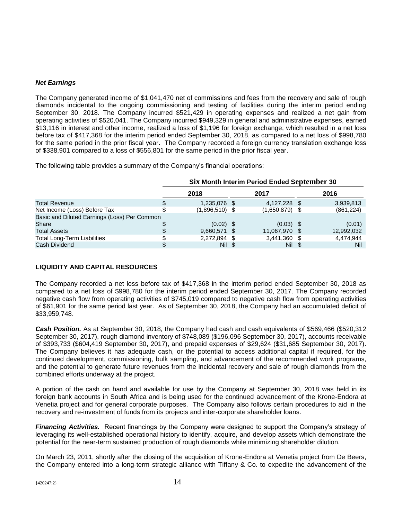#### *Net Earnings*

The Company generated income of \$1,041,470 net of commissions and fees from the recovery and sale of rough diamonds incidental to the ongoing commissioning and testing of facilities during the interim period ending September 30, 2018. The Company incurred \$521,429 in operating expenses and realized a net gain from operating activities of \$520,041. The Company incurred \$949,329 in general and administrative expenses, earned \$13,116 in interest and other income, realized a loss of \$1,196 for foreign exchange, which resulted in a net loss before tax of \$417,368 for the interim period ended September 30, 2018, as compared to a net loss of \$998,780 for the same period in the prior fiscal year. The Company recorded a foreign currency translation exchange loss of \$338,901 compared to a loss of \$556,801 for the same period in the prior fiscal year.

The following table provides a summary of the Company's financial operations:

|                                              | Six Month Interim Period Ended September 30 |  |                  |  |            |
|----------------------------------------------|---------------------------------------------|--|------------------|--|------------|
|                                              | 2018                                        |  | 2017             |  | 2016       |
| <b>Total Revenue</b>                         | 1,235,076 \$                                |  | 4,127,228 \$     |  | 3,939,813  |
| Net Income (Loss) Before Tax                 | $(1,896,510)$ \$                            |  | $(1,650,879)$ \$ |  | (861, 224) |
| Basic and Diluted Earnings (Loss) Per Common |                                             |  |                  |  |            |
| Share                                        | $(0.02)$ \$                                 |  | $(0.03)$ \$      |  | (0.01)     |
| <b>Total Assets</b>                          | 9,660,571 \$                                |  | 11,067,970 \$    |  | 12,992,032 |
| <b>Total Long-Term Liabilities</b>           | 2,272,894 \$                                |  | 3,441,360 \$     |  | 4.474.944  |
| Cash Dividend                                | Nil                                         |  | Nil              |  | Nil        |

#### **LIQUIDITY AND CAPITAL RESOURCES**

The Company recorded a net loss before tax of \$417,368 in the interim period ended September 30, 2018 as compared to a net loss of \$998,780 for the interim period ended September 30, 2017. The Company recorded negative cash flow from operating activities of \$745,019 compared to negative cash flow from operating activities of \$61,901 for the same period last year. As of September 30, 2018, the Company had an accumulated deficit of \$33,959,748.

*Cash Position.* As at September 30, 2018, the Company had cash and cash equivalents of \$569,466 (\$520,312 September 30, 2017), rough diamond inventory of \$748,089 (\$196,096 September 30, 2017), accounts receivable of \$393,733 (\$604,419 September 30, 2017), and prepaid expenses of \$29,624 (\$31,685 September 30, 2017). The Company believes it has adequate cash, or the potential to access additional capital if required, for the continued development, commissioning, bulk sampling, and advancement of the recommended work programs, and the potential to generate future revenues from the incidental recovery and sale of rough diamonds from the combined efforts underway at the project.

A portion of the cash on hand and available for use by the Company at September 30, 2018 was held in its foreign bank accounts in South Africa and is being used for the continued advancement of the Krone-Endora at Venetia project and for general corporate purposes. The Company also follows certain procedures to aid in the recovery and re-investment of funds from its projects and inter-corporate shareholder loans.

*Financing Activities.* Recent financings by the Company were designed to support the Company's strategy of leveraging its well-established operational history to identify, acquire, and develop assets which demonstrate the potential for the near-term sustained production of rough diamonds while minimizing shareholder dilution.

On March 23, 2011, shortly after the closing of the acquisition of Krone-Endora at Venetia project from De Beers, the Company entered into a long-term strategic alliance with Tiffany & Co. to expedite the advancement of the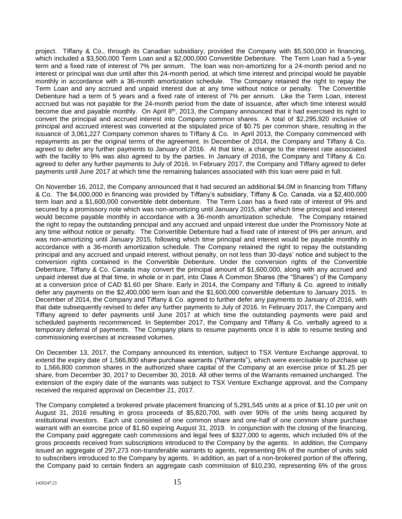project. Tiffany & Co., through its Canadian subsidiary, provided the Company with \$5,500,000 in financing, which included a \$3,500,000 Term Loan and a \$2,000,000 Convertible Debenture. The Term Loan had a 5-year term and a fixed rate of interest of 7% per annum. The loan was non-amortizing for a 24-month period and no interest or principal was due until after this 24-month period, at which time interest and principal would be payable monthly in accordance with a 36-month amortization schedule. The Company retained the right to repay the Term Loan and any accrued and unpaid interest due at any time without notice or penalty. The Convertible Debenture had a term of 5 years and a fixed rate of interest of 7% per annum. Like the Term Loan, interest accrued but was not payable for the 24-month period from the date of issuance, after which time interest would become due and payable monthly. On April 8<sup>th</sup>, 2013, the Company announced that it had exercised its right to convert the principal and accrued interest into Company common shares. A total of \$2,295,920 inclusive of principal and accrued interest was converted at the stipulated price of \$0.75 per common share, resulting in the issuance of 3,061,227 Company common shares to Tiffany & Co. In April 2013, the Company commenced with repayments as per the original terms of the agreement. In December of 2014, the Company and Tiffany & Co. agreed to defer any further payments to January of 2016. At that time, a change to the interest rate associated with the facility to 9% was also agreed to by the parties. In January of 2016, the Company and Tiffany & Co. agreed to defer any further payments to July of 2016. In February 2017, the Company and Tiffany agreed to defer payments until June 2017 at which time the remaining balances associated with this loan were paid in full.

On November 16, 2012, the Company announced that it had secured an additional \$4.0M in financing from Tiffany & Co. The \$4,000,000 in financing was provided by Tiffany's subsidiary, Tiffany & Co. Canada, via a \$2,400,000 term loan and a \$1,600,000 convertible debt debenture. The Term Loan has a fixed rate of interest of 9% and secured by a promissory note which was non-amortizing until January 2015, after which time principal and interest would become payable monthly in accordance with a 36-month amortization schedule. The Company retained the right to repay the outstanding principal and any accrued and unpaid interest due under the Promissory Note at any time without notice or penalty. The Convertible Debenture had a fixed rate of interest of 9% per annum, and was non-amortizing until January 2015, following which time principal and interest would be payable monthly in accordance with a 36-month amortization schedule. The Company retained the right to repay the outstanding principal and any accrued and unpaid interest, without penalty, on not less than 30-days' notice and subject to the conversion rights contained in the Convertible Debenture. Under the conversion rights of the Convertible Debenture, Tiffany & Co. Canada may convert the principal amount of \$1,600,000, along with any accrued and unpaid interest due at that time, in whole or in part, into Class A Common Shares (the "Shares") of the Company at a conversion price of CAD \$1.60 per Share. Early in 2014, the Company and Tiffany & Co. agreed to initially defer any payments on the \$2,400,000 term loan and the \$1,600,000 convertible debenture to January 2015. In December of 2014, the Company and Tiffany & Co. agreed to further defer any payments to January of 2016, with that date subsequently revised to defer any further payments to July of 2016. In February 2017, the Company and Tiffany agreed to defer payments until June 2017 at which time the outstanding payments were paid and scheduled payments recommenced. In September 2017, the Company and Tiffany & Co. verbally agreed to a temporary deferral of payments. The Company plans to resume payments once it is able to resume testing and commissioning exercises at increased volumes.

On December 13, 2017, the Company announced its intention, subject to TSX Venture Exchange approval, to extend the expiry date of 1,566,800 share purchase warrants ("Warrants"), which were exercisable to purchase up to 1,566,800 common shares in the authorized share capital of the Company at an exercise price of \$1.25 per share, from December 30, 2017 to December 30, 2018. All other terms of the Warrants remained unchanged. The extension of the expiry date of the warrants was subject to TSX Venture Exchange approval, and the Company received the required approval on December 21, 2017.

The Company completed a brokered private placement financing of 5,291,545 units at a price of \$1.10 per unit on August 31, 2016 resulting in gross proceeds of \$5,820,700, with over 90% of the units being acquired by institutional investors. Each unit consisted of one common share and one-half of one common share purchase warrant with an exercise price of \$1.60 expiring August 31, 2019. In conjunction with the closing of the financing, the Company paid aggregate cash commissions and legal fees of \$327,000 to agents, which included 6% of the gross proceeds received from subscriptions introduced to the Company by the agents. In addition, the Company issued an aggregate of 297,273 non-transferable warrants to agents, representing 6% of the number of units sold to subscribers introduced to the Company by agents. In addition, as part of a non-brokered portion of the offering, the Company paid to certain finders an aggregate cash commission of \$10,230, representing 6% of the gross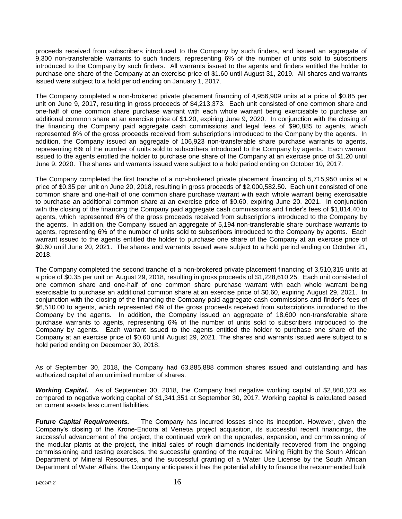proceeds received from subscribers introduced to the Company by such finders, and issued an aggregate of 9,300 non-transferable warrants to such finders, representing 6% of the number of units sold to subscribers introduced to the Company by such finders. All warrants issued to the agents and finders entitled the holder to purchase one share of the Company at an exercise price of \$1.60 until August 31, 2019. All shares and warrants issued were subject to a hold period ending on January 1, 2017.

The Company completed a non-brokered private placement financing of 4,956,909 units at a price of \$0.85 per unit on June 9, 2017, resulting in gross proceeds of \$4,213,373. Each unit consisted of one common share and one-half of one common share purchase warrant with each whole warrant being exercisable to purchase an additional common share at an exercise price of \$1.20, expiring June 9, 2020. In conjunction with the closing of the financing the Company paid aggregate cash commissions and legal fees of \$90,885 to agents, which represented 6% of the gross proceeds received from subscriptions introduced to the Company by the agents. In addition, the Company issued an aggregate of 106,923 non-transferable share purchase warrants to agents, representing 6% of the number of units sold to subscribers introduced to the Company by agents. Each warrant issued to the agents entitled the holder to purchase one share of the Company at an exercise price of \$1.20 until June 9, 2020. The shares and warrants issued were subject to a hold period ending on October 10, 2017.

The Company completed the first tranche of a non-brokered private placement financing of 5,715,950 units at a price of \$0.35 per unit on June 20, 2018, resulting in gross proceeds of \$2,000,582.50. Each unit consisted of one common share and one-half of one common share purchase warrant with each whole warrant being exercisable to purchase an additional common share at an exercise price of \$0.60, expiring June 20, 2021. In conjunction with the closing of the financing the Company paid aggregate cash commissions and finder's fees of \$1,814.40 to agents, which represented 6% of the gross proceeds received from subscriptions introduced to the Company by the agents. In addition, the Company issued an aggregate of 5,194 non-transferable share purchase warrants to agents, representing 6% of the number of units sold to subscribers introduced to the Company by agents. Each warrant issued to the agents entitled the holder to purchase one share of the Company at an exercise price of \$0.60 until June 20, 2021. The shares and warrants issued were subject to a hold period ending on October 21, 2018.

The Company completed the second tranche of a non-brokered private placement financing of 3,510,315 units at a price of \$0.35 per unit on August 29, 2018, resulting in gross proceeds of \$1,228,610.25. Each unit consisted of one common share and one-half of one common share purchase warrant with each whole warrant being exercisable to purchase an additional common share at an exercise price of \$0.60, expiring August 29, 2021. In conjunction with the closing of the financing the Company paid aggregate cash commissions and finder's fees of \$6,510.00 to agents, which represented 6% of the gross proceeds received from subscriptions introduced to the Company by the agents. In addition, the Company issued an aggregate of 18,600 non-transferable share purchase warrants to agents, representing 6% of the number of units sold to subscribers introduced to the Company by agents. Each warrant issued to the agents entitled the holder to purchase one share of the Company at an exercise price of \$0.60 until August 29, 2021. The shares and warrants issued were subject to a hold period ending on December 30, 2018.

As of September 30, 2018, the Company had 63,885,888 common shares issued and outstanding and has authorized capital of an unlimited number of shares.

*Working Capital.* As of September 30, 2018, the Company had negative working capital of \$2,860,123 as compared to negative working capital of \$1,341,351 at September 30, 2017. Working capital is calculated based on current assets less current liabilities.

*Future Capital Requirements.* The Company has incurred losses since its inception. However, given the Company's closing of the Krone-Endora at Venetia project acquisition, its successful recent financings, the successful advancement of the project, the continued work on the upgrades, expansion, and commissioning of the modular plants at the project, the initial sales of rough diamonds incidentally recovered from the ongoing commissioning and testing exercises, the successful granting of the required Mining Right by the South African Department of Mineral Resources, and the successful granting of a Water Use License by the South African Department of Water Affairs, the Company anticipates it has the potential ability to finance the recommended bulk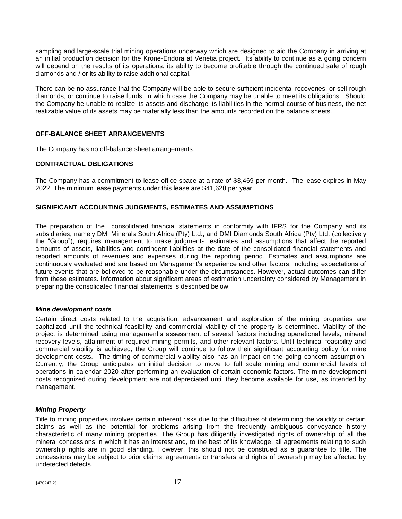sampling and large-scale trial mining operations underway which are designed to aid the Company in arriving at an initial production decision for the Krone-Endora at Venetia project. Its ability to continue as a going concern will depend on the results of its operations, its ability to become profitable through the continued sale of rough diamonds and / or its ability to raise additional capital.

There can be no assurance that the Company will be able to secure sufficient incidental recoveries, or sell rough diamonds, or continue to raise funds, in which case the Company may be unable to meet its obligations. Should the Company be unable to realize its assets and discharge its liabilities in the normal course of business, the net realizable value of its assets may be materially less than the amounts recorded on the balance sheets.

#### **OFF-BALANCE SHEET ARRANGEMENTS**

The Company has no off-balance sheet arrangements.

#### **CONTRACTUAL OBLIGATIONS**

The Company has a commitment to lease office space at a rate of \$3,469 per month. The lease expires in May 2022. The minimum lease payments under this lease are \$41,628 per year.

#### **SIGNIFICANT ACCOUNTING JUDGMENTS, ESTIMATES AND ASSUMPTIONS**

The preparation of the consolidated financial statements in conformity with IFRS for the Company and its subsidiaries, namely DMI Minerals South Africa (Pty) Ltd., and DMI Diamonds South Africa (Pty) Ltd. (collectively the "Group"), requires management to make judgments, estimates and assumptions that affect the reported amounts of assets, liabilities and contingent liabilities at the date of the consolidated financial statements and reported amounts of revenues and expenses during the reporting period. Estimates and assumptions are continuously evaluated and are based on Management's experience and other factors, including expectations of future events that are believed to be reasonable under the circumstances. However, actual outcomes can differ from these estimates. Information about significant areas of estimation uncertainty considered by Management in preparing the consolidated financial statements is described below.

#### *Mine development costs*

Certain direct costs related to the acquisition, advancement and exploration of the mining properties are capitalized until the technical feasibility and commercial viability of the property is determined. Viability of the project is determined using management's assessment of several factors including operational levels, mineral recovery levels, attainment of required mining permits, and other relevant factors. Until technical feasibility and commercial viability is achieved, the Group will continue to follow their significant accounting policy for mine development costs. The timing of commercial viability also has an impact on the going concern assumption. Currently, the Group anticipates an initial decision to move to full scale mining and commercial levels of operations in calendar 2020 after performing an evaluation of certain economic factors. The mine development costs recognized during development are not depreciated until they become available for use, as intended by management.

#### *Mining Property*

Title to mining properties involves certain inherent risks due to the difficulties of determining the validity of certain claims as well as the potential for problems arising from the frequently ambiguous conveyance history characteristic of many mining properties. The Group has diligently investigated rights of ownership of all the mineral concessions in which it has an interest and, to the best of its knowledge, all agreements relating to such ownership rights are in good standing. However, this should not be construed as a guarantee to title. The concessions may be subject to prior claims, agreements or transfers and rights of ownership may be affected by undetected defects.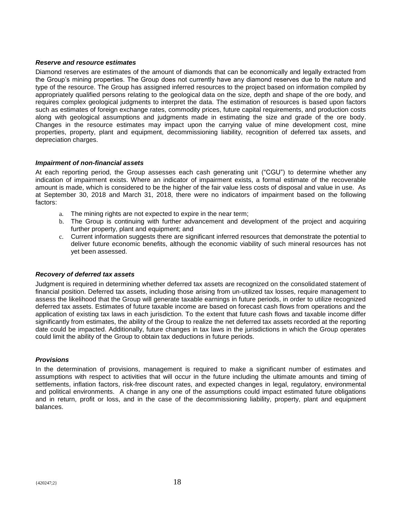#### *Reserve and resource estimates*

Diamond reserves are estimates of the amount of diamonds that can be economically and legally extracted from the Group's mining properties. The Group does not currently have any diamond reserves due to the nature and type of the resource. The Group has assigned inferred resources to the project based on information compiled by appropriately qualified persons relating to the geological data on the size, depth and shape of the ore body, and requires complex geological judgments to interpret the data. The estimation of resources is based upon factors such as estimates of foreign exchange rates, commodity prices, future capital requirements, and production costs along with geological assumptions and judgments made in estimating the size and grade of the ore body. Changes in the resource estimates may impact upon the carrying value of mine development cost, mine properties, property, plant and equipment, decommissioning liability, recognition of deferred tax assets, and depreciation charges.

#### *Impairment of non-financial assets*

At each reporting period, the Group assesses each cash generating unit ("CGU") to determine whether any indication of impairment exists. Where an indicator of impairment exists, a formal estimate of the recoverable amount is made, which is considered to be the higher of the fair value less costs of disposal and value in use. As at September 30, 2018 and March 31, 2018, there were no indicators of impairment based on the following factors:

- a. The mining rights are not expected to expire in the near term;
- b. The Group is continuing with further advancement and development of the project and acquiring further property, plant and equipment; and
- c. Current information suggests there are significant inferred resources that demonstrate the potential to deliver future economic benefits, although the economic viability of such mineral resources has not yet been assessed.

#### *Recovery of deferred tax assets*

Judgment is required in determining whether deferred tax assets are recognized on the consolidated statement of financial position. Deferred tax assets, including those arising from un-utilized tax losses, require management to assess the likelihood that the Group will generate taxable earnings in future periods, in order to utilize recognized deferred tax assets. Estimates of future taxable income are based on forecast cash flows from operations and the application of existing tax laws in each jurisdiction. To the extent that future cash flows and taxable income differ significantly from estimates, the ability of the Group to realize the net deferred tax assets recorded at the reporting date could be impacted. Additionally, future changes in tax laws in the jurisdictions in which the Group operates could limit the ability of the Group to obtain tax deductions in future periods.

#### *Provisions*

In the determination of provisions, management is required to make a significant number of estimates and assumptions with respect to activities that will occur in the future including the ultimate amounts and timing of settlements, inflation factors, risk-free discount rates, and expected changes in legal, regulatory, environmental and political environments. A change in any one of the assumptions could impact estimated future obligations and in return, profit or loss, and in the case of the decommissioning liability, property, plant and equipment balances.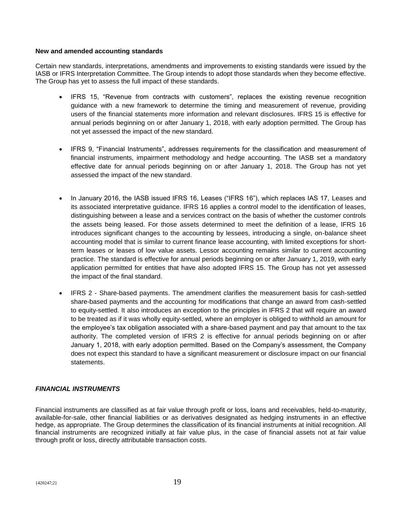#### **New and amended accounting standards**

Certain new standards, interpretations, amendments and improvements to existing standards were issued by the IASB or IFRS Interpretation Committee. The Group intends to adopt those standards when they become effective. The Group has yet to assess the full impact of these standards.

- IFRS 15, "Revenue from contracts with customers", replaces the existing revenue recognition guidance with a new framework to determine the timing and measurement of revenue, providing users of the financial statements more information and relevant disclosures. IFRS 15 is effective for annual periods beginning on or after January 1, 2018, with early adoption permitted. The Group has not yet assessed the impact of the new standard.
- IFRS 9, "Financial Instruments", addresses requirements for the classification and measurement of financial instruments, impairment methodology and hedge accounting. The IASB set a mandatory effective date for annual periods beginning on or after January 1, 2018. The Group has not yet assessed the impact of the new standard.
- In January 2016, the IASB issued IFRS 16, Leases ("IFRS 16"), which replaces IAS 17, Leases and its associated interpretative guidance. IFRS 16 applies a control model to the identification of leases, distinguishing between a lease and a services contract on the basis of whether the customer controls the assets being leased. For those assets determined to meet the definition of a lease, IFRS 16 introduces significant changes to the accounting by lessees, introducing a single, on-balance sheet accounting model that is similar to current finance lease accounting, with limited exceptions for shortterm leases or leases of low value assets. Lessor accounting remains similar to current accounting practice. The standard is effective for annual periods beginning on or after January 1, 2019, with early application permitted for entities that have also adopted IFRS 15. The Group has not yet assessed the impact of the final standard.
- IFRS 2 Share-based payments. The amendment clarifies the measurement basis for cash-settled share-based payments and the accounting for modifications that change an award from cash-settled to equity-settled. It also introduces an exception to the principles in IFRS 2 that will require an award to be treated as if it was wholly equity-settled, where an employer is obliged to withhold an amount for the employee's tax obligation associated with a share-based payment and pay that amount to the tax authority. The completed version of IFRS 2 is effective for annual periods beginning on or after January 1, 2018, with early adoption permitted. Based on the Company's assessment, the Company does not expect this standard to have a significant measurement or disclosure impact on our financial statements.

#### *FINANCIAL INSTRUMENTS*

Financial instruments are classified as at fair value through profit or loss, loans and receivables, held-to-maturity, available-for-sale, other financial liabilities or as derivatives designated as hedging instruments in an effective hedge, as appropriate. The Group determines the classification of its financial instruments at initial recognition. All financial instruments are recognized initially at fair value plus, in the case of financial assets not at fair value through profit or loss, directly attributable transaction costs.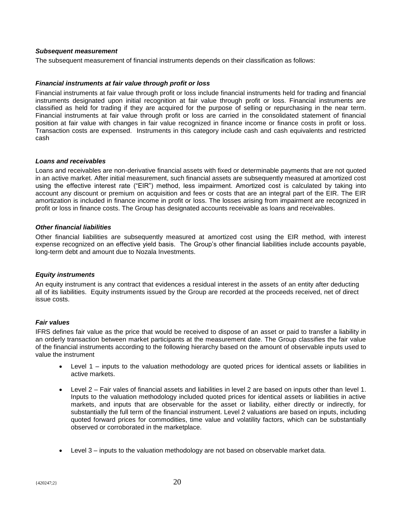#### *Subsequent measurement*

The subsequent measurement of financial instruments depends on their classification as follows:

#### *Financial instruments at fair value through profit or loss*

Financial instruments at fair value through profit or loss include financial instruments held for trading and financial instruments designated upon initial recognition at fair value through profit or loss. Financial instruments are classified as held for trading if they are acquired for the purpose of selling or repurchasing in the near term. Financial instruments at fair value through profit or loss are carried in the consolidated statement of financial position at fair value with changes in fair value recognized in finance income or finance costs in profit or loss. Transaction costs are expensed. Instruments in this category include cash and cash equivalents and restricted cash

#### *Loans and receivables*

Loans and receivables are non-derivative financial assets with fixed or determinable payments that are not quoted in an active market. After initial measurement, such financial assets are subsequently measured at amortized cost using the effective interest rate ("EIR") method, less impairment. Amortized cost is calculated by taking into account any discount or premium on acquisition and fees or costs that are an integral part of the EIR. The EIR amortization is included in finance income in profit or loss. The losses arising from impairment are recognized in profit or loss in finance costs. The Group has designated accounts receivable as loans and receivables.

#### *Other financial liabilities*

Other financial liabilities are subsequently measured at amortized cost using the EIR method, with interest expense recognized on an effective yield basis. The Group's other financial liabilities include accounts payable, long-term debt and amount due to Nozala Investments.

#### *Equity instruments*

An equity instrument is any contract that evidences a residual interest in the assets of an entity after deducting all of its liabilities. Equity instruments issued by the Group are recorded at the proceeds received, net of direct issue costs.

#### *Fair values*

IFRS defines fair value as the price that would be received to dispose of an asset or paid to transfer a liability in an orderly transaction between market participants at the measurement date. The Group classifies the fair value of the financial instruments according to the following hierarchy based on the amount of observable inputs used to value the instrument

- Level 1 inputs to the valuation methodology are quoted prices for identical assets or liabilities in active markets.
- Level 2 Fair vales of financial assets and liabilities in level 2 are based on inputs other than level 1. Inputs to the valuation methodology included quoted prices for identical assets or liabilities in active markets, and inputs that are observable for the asset or liability, either directly or indirectly, for substantially the full term of the financial instrument. Level 2 valuations are based on inputs, including quoted forward prices for commodities, time value and volatility factors, which can be substantially observed or corroborated in the marketplace.
- Level 3 inputs to the valuation methodology are not based on observable market data.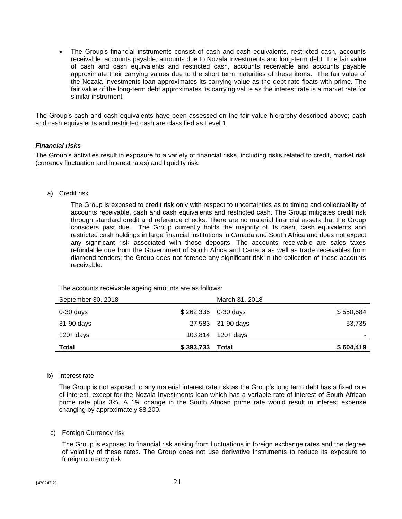• The Group's financial instruments consist of cash and cash equivalents, restricted cash, accounts receivable, accounts payable, amounts due to Nozala Investments and long-term debt. The fair value of cash and cash equivalents and restricted cash, accounts receivable and accounts payable approximate their carrying values due to the short term maturities of these items. The fair value of the Nozala Investments loan approximates its carrying value as the debt rate floats with prime. The fair value of the long-term debt approximates its carrying value as the interest rate is a market rate for similar instrument

The Group's cash and cash equivalents have been assessed on the fair value hierarchy described above; cash and cash equivalents and restricted cash are classified as Level 1.

#### *Financial risks*

The Group's activities result in exposure to a variety of financial risks, including risks related to credit, market risk (currency fluctuation and interest rates) and liquidity risk.

#### a) Credit risk

The Group is exposed to credit risk only with respect to uncertainties as to timing and collectability of accounts receivable, cash and cash equivalents and restricted cash. The Group mitigates credit risk through standard credit and reference checks. There are no material financial assets that the Group considers past due. The Group currently holds the majority of its cash, cash equivalents and restricted cash holdings in large financial institutions in Canada and South Africa and does not expect any significant risk associated with those deposits. The accounts receivable are sales taxes refundable due from the Government of South Africa and Canada as well as trade receivables from diamond tenders; the Group does not foresee any significant risk in the collection of these accounts receivable.

The accounts receivable ageing amounts are as follows:

| Total              | \$393,733 | Total                | \$604,419 |
|--------------------|-----------|----------------------|-----------|
| $120 + days$       |           | 103,814 120+ days    |           |
| 31-90 days         |           | 27,583 31-90 days    | 53,735    |
| $0-30$ days        |           | $$262,336$ 0-30 days | \$550,684 |
| September 30, 2018 |           | March 31, 2018       |           |

#### b) Interest rate

The Group is not exposed to any material interest rate risk as the Group's long term debt has a fixed rate of interest, except for the Nozala Investments loan which has a variable rate of interest of South African prime rate plus 3%. A 1% change in the South African prime rate would result in interest expense changing by approximately \$8,200.

#### c) Foreign Currency risk

The Group is exposed to financial risk arising from fluctuations in foreign exchange rates and the degree of volatility of these rates. The Group does not use derivative instruments to reduce its exposure to foreign currency risk.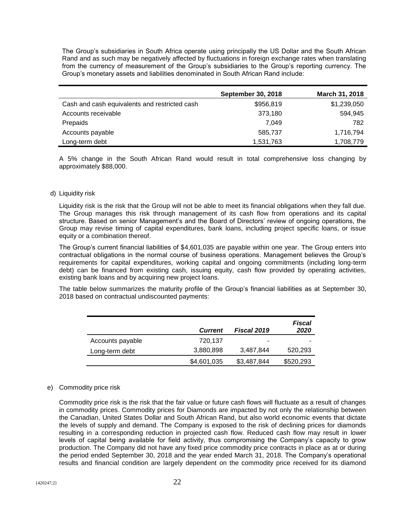The Group's subsidiaries in South Africa operate using principally the US Dollar and the South African Rand and as such may be negatively affected by fluctuations in foreign exchange rates when translating from the currency of measurement of the Group's subsidiaries to the Group's reporting currency. The Group's monetary assets and liabilities denominated in South African Rand include:

|                                               | <b>September 30, 2018</b> | March 31, 2018 |
|-----------------------------------------------|---------------------------|----------------|
| Cash and cash equivalents and restricted cash | \$956,819                 | \$1,239,050    |
| Accounts receivable                           | 373,180                   | 594.945        |
| Prepaids                                      | 7.049                     | 782            |
| Accounts payable                              | 585,737                   | 1,716,794      |
| Long-term debt                                | 1,531,763                 | 1,708,779      |

A 5% change in the South African Rand would result in total comprehensive loss changing by approximately \$88,000.

#### d) Liquidity risk

Liquidity risk is the risk that the Group will not be able to meet its financial obligations when they fall due. The Group manages this risk through management of its cash flow from operations and its capital structure. Based on senior Management's and the Board of Directors' review of ongoing operations, the Group may revise timing of capital expenditures, bank loans, including project specific loans, or issue equity or a combination thereof.

The Group's current financial liabilities of \$4,601,035 are payable within one year. The Group enters into contractual obligations in the normal course of business operations. Management believes the Group's requirements for capital expenditures, working capital and ongoing commitments (including long-term debt) can be financed from existing cash, issuing equity, cash flow provided by operating activities, existing bank loans and by acquiring new project loans.

The table below summarizes the maturity profile of the Group's financial liabilities as at September 30, 2018 based on contractual undiscounted payments:

|                  | <b>Current</b> | <b>Fiscal 2019</b> | Fiscal<br>2020 |
|------------------|----------------|--------------------|----------------|
| Accounts payable | 720.137        | -                  |                |
| Long-term debt   | 3,880,898      | 3,487,844          | 520,293        |
|                  | \$4,601,035    | \$3,487,844        | \$520,293      |

#### e) Commodity price risk

Commodity price risk is the risk that the fair value or future cash flows will fluctuate as a result of changes in commodity prices. Commodity prices for Diamonds are impacted by not only the relationship between the Canadian, United States Dollar and South African Rand, but also world economic events that dictate the levels of supply and demand. The Company is exposed to the risk of declining prices for diamonds resulting in a corresponding reduction in projected cash flow. Reduced cash flow may result in lower levels of capital being available for field activity, thus compromising the Company's capacity to grow production. The Company did not have any fixed price commodity price contracts in place as at or during the period ended September 30, 2018 and the year ended March 31, 2018. The Company's operational results and financial condition are largely dependent on the commodity price received for its diamond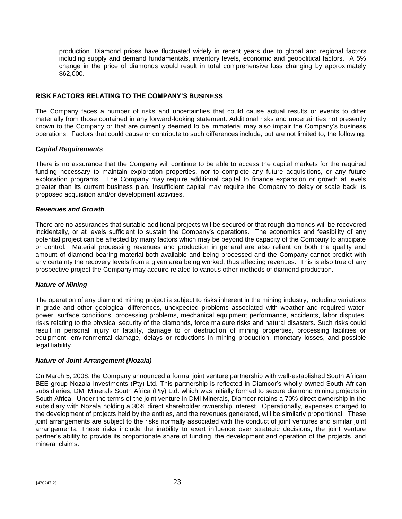production. Diamond prices have fluctuated widely in recent years due to global and regional factors including supply and demand fundamentals, inventory levels, economic and geopolitical factors. A 5% change in the price of diamonds would result in total comprehensive loss changing by approximately \$62,000.

#### **RISK FACTORS RELATING TO THE COMPANY'S BUSINESS**

The Company faces a number of risks and uncertainties that could cause actual results or events to differ materially from those contained in any forward-looking statement. Additional risks and uncertainties not presently known to the Company or that are currently deemed to be immaterial may also impair the Company's business operations. Factors that could cause or contribute to such differences include, but are not limited to, the following:

#### *Capital Requirements*

There is no assurance that the Company will continue to be able to access the capital markets for the required funding necessary to maintain exploration properties, nor to complete any future acquisitions, or any future exploration programs. The Company may require additional capital to finance expansion or growth at levels greater than its current business plan. Insufficient capital may require the Company to delay or scale back its proposed acquisition and/or development activities.

#### *Revenues and Growth*

There are no assurances that suitable additional projects will be secured or that rough diamonds will be recovered incidentally, or at levels sufficient to sustain the Company's operations. The economics and feasibility of any potential project can be affected by many factors which may be beyond the capacity of the Company to anticipate or control. Material processing revenues and production in general are also reliant on both the quality and amount of diamond bearing material both available and being processed and the Company cannot predict with any certainty the recovery levels from a given area being worked, thus affecting revenues. This is also true of any prospective project the Company may acquire related to various other methods of diamond production.

#### *Nature of Mining*

The operation of any diamond mining project is subject to risks inherent in the mining industry, including variations in grade and other geological differences, unexpected problems associated with weather and required water, power, surface conditions, processing problems, mechanical equipment performance, accidents, labor disputes, risks relating to the physical security of the diamonds, force majeure risks and natural disasters. Such risks could result in personal injury or fatality, damage to or destruction of mining properties, processing facilities or equipment, environmental damage, delays or reductions in mining production, monetary losses, and possible legal liability.

#### *Nature of Joint Arrangement (Nozala)*

On March 5, 2008, the Company announced a formal joint venture partnership with well-established South African BEE group Nozala Investments (Pty) Ltd. This partnership is reflected in Diamcor's wholly-owned South African subsidiaries, DMI Minerals South Africa (Pty) Ltd. which was initially formed to secure diamond mining projects in South Africa. Under the terms of the joint venture in DMI Minerals, Diamcor retains a 70% direct ownership in the subsidiary with Nozala holding a 30% direct shareholder ownership interest. Operationally, expenses charged to the development of projects held by the entities, and the revenues generated, will be similarly proportional. These joint arrangements are subject to the risks normally associated with the conduct of joint ventures and similar joint arrangements. These risks include the inability to exert influence over strategic decisions, the joint venture partner's ability to provide its proportionate share of funding, the development and operation of the projects, and mineral claims.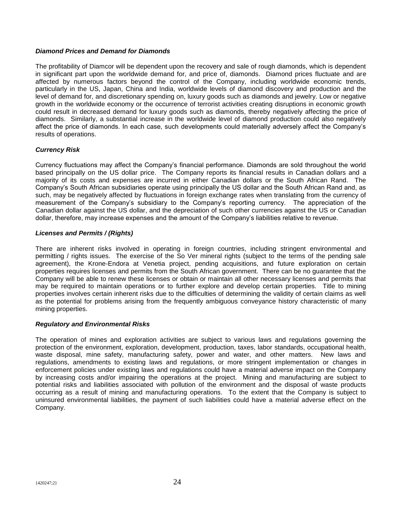#### *Diamond Prices and Demand for Diamonds*

The profitability of Diamcor will be dependent upon the recovery and sale of rough diamonds, which is dependent in significant part upon the worldwide demand for, and price of, diamonds. Diamond prices fluctuate and are affected by numerous factors beyond the control of the Company, including worldwide economic trends, particularly in the US, Japan, China and India, worldwide levels of diamond discovery and production and the level of demand for, and discretionary spending on, luxury goods such as diamonds and jewelry. Low or negative growth in the worldwide economy or the occurrence of terrorist activities creating disruptions in economic growth could result in decreased demand for luxury goods such as diamonds, thereby negatively affecting the price of diamonds. Similarly, a substantial increase in the worldwide level of diamond production could also negatively affect the price of diamonds. In each case, such developments could materially adversely affect the Company's results of operations.

#### *Currency Risk*

Currency fluctuations may affect the Company's financial performance. Diamonds are sold throughout the world based principally on the US dollar price. The Company reports its financial results in Canadian dollars and a majority of its costs and expenses are incurred in either Canadian dollars or the South African Rand. The Company's South African subsidiaries operate using principally the US dollar and the South African Rand and, as such, may be negatively affected by fluctuations in foreign exchange rates when translating from the currency of measurement of the Company's subsidiary to the Company's reporting currency. The appreciation of the Canadian dollar against the US dollar, and the depreciation of such other currencies against the US or Canadian dollar, therefore, may increase expenses and the amount of the Company's liabilities relative to revenue.

#### *Licenses and Permits / (Rights)*

There are inherent risks involved in operating in foreign countries, including stringent environmental and permitting / rights issues. The exercise of the So Ver mineral rights (subject to the terms of the pending sale agreement), the Krone-Endora at Venetia project, pending acquisitions, and future exploration on certain properties requires licenses and permits from the South African government. There can be no guarantee that the Company will be able to renew these licenses or obtain or maintain all other necessary licenses and permits that may be required to maintain operations or to further explore and develop certain properties. Title to mining properties involves certain inherent risks due to the difficulties of determining the validity of certain claims as well as the potential for problems arising from the frequently ambiguous conveyance history characteristic of many mining properties.

#### *Regulatory and Environmental Risks*

The operation of mines and exploration activities are subject to various laws and regulations governing the protection of the environment, exploration, development, production, taxes, labor standards, occupational health, waste disposal, mine safety, manufacturing safety, power and water, and other matters. New laws and regulations, amendments to existing laws and regulations, or more stringent implementation or changes in enforcement policies under existing laws and regulations could have a material adverse impact on the Company by increasing costs and/or impairing the operations at the project. Mining and manufacturing are subject to potential risks and liabilities associated with pollution of the environment and the disposal of waste products occurring as a result of mining and manufacturing operations. To the extent that the Company is subject to uninsured environmental liabilities, the payment of such liabilities could have a material adverse effect on the Company.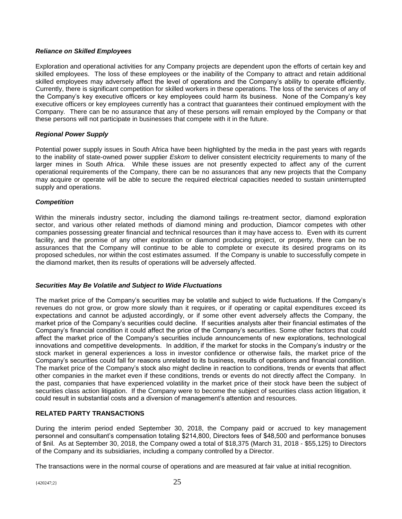#### *Reliance on Skilled Employees*

Exploration and operational activities for any Company projects are dependent upon the efforts of certain key and skilled employees. The loss of these employees or the inability of the Company to attract and retain additional skilled employees may adversely affect the level of operations and the Company's ability to operate efficiently. Currently, there is significant competition for skilled workers in these operations. The loss of the services of any of the Company's key executive officers or key employees could harm its business. None of the Company's key executive officers or key employees currently has a contract that guarantees their continued employment with the Company. There can be no assurance that any of these persons will remain employed by the Company or that these persons will not participate in businesses that compete with it in the future.

#### *Regional Power Supply*

Potential power supply issues in South Africa have been highlighted by the media in the past years with regards to the inability of state-owned power supplier *Eskom* to deliver consistent electricity requirements to many of the larger mines in South Africa. While these issues are not presently expected to affect any of the current operational requirements of the Company, there can be no assurances that any new projects that the Company may acquire or operate will be able to secure the required electrical capacities needed to sustain uninterrupted supply and operations.

#### *Competition*

Within the minerals industry sector, including the diamond tailings re-treatment sector, diamond exploration sector, and various other related methods of diamond mining and production, Diamcor competes with other companies possessing greater financial and technical resources than it may have access to. Even with its current facility, and the promise of any other exploration or diamond producing project, or property, there can be no assurances that the Company will continue to be able to complete or execute its desired programs on its proposed schedules, nor within the cost estimates assumed. If the Company is unable to successfully compete in the diamond market, then its results of operations will be adversely affected.

#### *Securities May Be Volatile and Subject to Wide Fluctuations*

The market price of the Company's securities may be volatile and subject to wide fluctuations. If the Company's revenues do not grow, or grow more slowly than it requires, or if operating or capital expenditures exceed its expectations and cannot be adjusted accordingly, or if some other event adversely affects the Company, the market price of the Company's securities could decline. If securities analysts alter their financial estimates of the Company's financial condition it could affect the price of the Company's securities. Some other factors that could affect the market price of the Company's securities include announcements of new explorations, technological innovations and competitive developments. In addition, if the market for stocks in the Company's industry or the stock market in general experiences a loss in investor confidence or otherwise fails, the market price of the Company's securities could fall for reasons unrelated to its business, results of operations and financial condition. The market price of the Company's stock also might decline in reaction to conditions, trends or events that affect other companies in the market even if these conditions, trends or events do not directly affect the Company. In the past, companies that have experienced volatility in the market price of their stock have been the subject of securities class action litigation. If the Company were to become the subject of securities class action litigation, it could result in substantial costs and a diversion of management's attention and resources.

#### **RELATED PARTY TRANSACTIONS**

During the interim period ended September 30, 2018, the Company paid or accrued to key management personnel and consultant's compensation totaling \$214,800, Directors fees of \$48,500 and performance bonuses of \$nil. As at September 30, 2018, the Company owed a total of \$18,375 (March 31, 2018 - \$55,125) to Directors of the Company and its subsidiaries, including a company controlled by a Director.

The transactions were in the normal course of operations and are measured at fair value at initial recognition.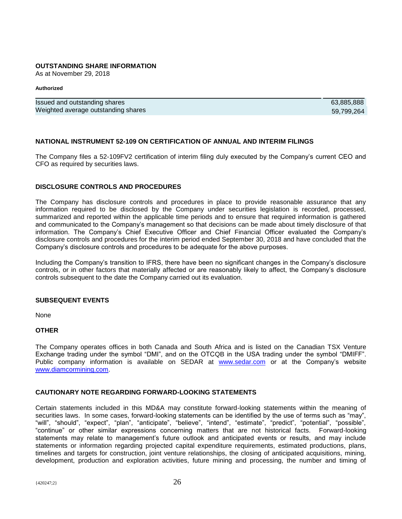#### **OUTSTANDING SHARE INFORMATION**

As at November 29, 2018

#### **Authorized**

| Issued and outstanding shares       | 63,885,888 |
|-------------------------------------|------------|
| Weighted average outstanding shares | 59.799.264 |

#### **NATIONAL INSTRUMENT 52-109 ON CERTIFICATION OF ANNUAL AND INTERIM FILINGS**

The Company files a 52-109FV2 certification of interim filing duly executed by the Company's current CEO and CFO as required by securities laws.

#### **DISCLOSURE CONTROLS AND PROCEDURES**

The Company has disclosure controls and procedures in place to provide reasonable assurance that any information required to be disclosed by the Company under securities legislation is recorded, processed, summarized and reported within the applicable time periods and to ensure that required information is gathered and communicated to the Company's management so that decisions can be made about timely disclosure of that information. The Company's Chief Executive Officer and Chief Financial Officer evaluated the Company's disclosure controls and procedures for the interim period ended September 30, 2018 and have concluded that the Company's disclosure controls and procedures to be adequate for the above purposes.

Including the Company's transition to IFRS, there have been no significant changes in the Company's disclosure controls, or in other factors that materially affected or are reasonably likely to affect, the Company's disclosure controls subsequent to the date the Company carried out its evaluation.

#### **SUBSEQUENT EVENTS**

None

#### **OTHER**

The Company operates offices in both Canada and South Africa and is listed on the Canadian TSX Venture Exchange trading under the symbol "DMI", and on the OTCQB in the USA trading under the symbol "DMIFF". Public company information is available on SEDAR at [www.sedar.com](http://www.sedar.com/) or at the Company's website [www.diamcormining.com.](http://www.diamcormining.com/)

#### **CAUTIONARY NOTE REGARDING FORWARD-LOOKING STATEMENTS**

Certain statements included in this MD&A may constitute forward-looking statements within the meaning of securities laws. In some cases, forward-looking statements can be identified by the use of terms such as "may", "will", "should", "expect", "plan", "anticipate", "believe", "intend", "estimate", "predict", "potential", "possible", "continue" or other similar expressions concerning matters that are not historical facts. Forward-looking statements may relate to management's future outlook and anticipated events or results, and may include statements or information regarding projected capital expenditure requirements, estimated productions, plans, timelines and targets for construction, joint venture relationships, the closing of anticipated acquisitions, mining, development, production and exploration activities, future mining and processing, the number and timing of